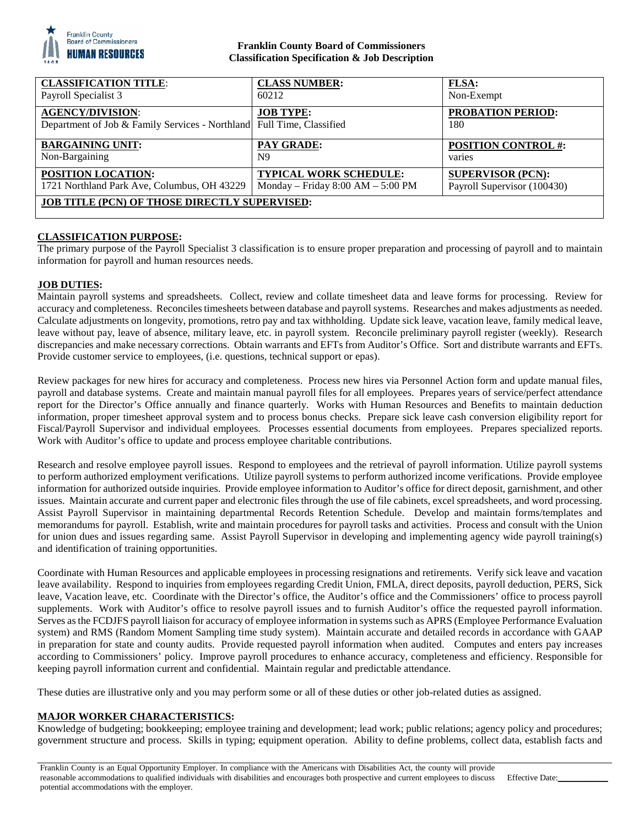

## **Franklin County Board of Commissioners Classification Specification & Job Description**

| <b>CLASSIFICATION TITLE:</b>                                          | <b>CLASS NUMBER:</b>                | <b>FLSA:</b>                |
|-----------------------------------------------------------------------|-------------------------------------|-----------------------------|
| Payroll Specialist 3                                                  | 60212                               | Non-Exempt                  |
| <b>AGENCY/DIVISION:</b>                                               | <b>JOB TYPE:</b>                    | <b>PROBATION PERIOD:</b>    |
| Department of Job & Family Services - Northland Full Time, Classified |                                     | 180                         |
| <b>BARGAINING UNIT:</b>                                               | <b>PAY GRADE:</b>                   | <b>POSITION CONTROL #:</b>  |
| Non-Bargaining                                                        | N <sub>9</sub>                      | varies                      |
| POSITION LOCATION:                                                    | TYPICAL WORK SCHEDULE:              | <b>SUPERVISOR (PCN):</b>    |
| 1721 Northland Park Ave, Columbus, OH 43229                           | Monday – Friday $8:00 AM - 5:00 PM$ | Payroll Supervisor (100430) |
| <b>JOB TITLE (PCN) OF THOSE DIRECTLY SUPERVISED:</b>                  |                                     |                             |
|                                                                       |                                     |                             |

## **CLASSIFICATION PURPOSE:**

The primary purpose of the Payroll Specialist 3 classification is to ensure proper preparation and processing of payroll and to maintain information for payroll and human resources needs.

## **JOB DUTIES:**

Maintain payroll systems and spreadsheets. Collect, review and collate timesheet data and leave forms for processing. Review for accuracy and completeness. Reconciles timesheets between database and payroll systems. Researches and makes adjustments as needed. Calculate adjustments on longevity, promotions, retro pay and tax withholding. Update sick leave, vacation leave, family medical leave, leave without pay, leave of absence, military leave, etc. in payroll system. Reconcile preliminary payroll register (weekly). Research discrepancies and make necessary corrections. Obtain warrants and EFTs from Auditor's Office. Sort and distribute warrants and EFTs. Provide customer service to employees, (i.e. questions, technical support or epas).

Review packages for new hires for accuracy and completeness. Process new hires via Personnel Action form and update manual files, payroll and database systems. Create and maintain manual payroll files for all employees. Prepares years of service/perfect attendance report for the Director's Office annually and finance quarterly. Works with Human Resources and Benefits to maintain deduction information, proper timesheet approval system and to process bonus checks. Prepare sick leave cash conversion eligibility report for Fiscal/Payroll Supervisor and individual employees. Processes essential documents from employees. Prepares specialized reports. Work with Auditor's office to update and process employee charitable contributions.

Research and resolve employee payroll issues. Respond to employees and the retrieval of payroll information. Utilize payroll systems to perform authorized employment verifications. Utilize payroll systems to perform authorized income verifications. Provide employee information for authorized outside inquiries. Provide employee information to Auditor's office for direct deposit, garnishment, and other issues. Maintain accurate and current paper and electronic files through the use of file cabinets, excel spreadsheets, and word processing. Assist Payroll Supervisor in maintaining departmental Records Retention Schedule. Develop and maintain forms/templates and memorandums for payroll. Establish, write and maintain procedures for payroll tasks and activities. Process and consult with the Union for union dues and issues regarding same. Assist Payroll Supervisor in developing and implementing agency wide payroll training(s) and identification of training opportunities.

Coordinate with Human Resources and applicable employees in processing resignations and retirements. Verify sick leave and vacation leave availability. Respond to inquiries from employees regarding Credit Union, FMLA, direct deposits, payroll deduction, PERS, Sick leave, Vacation leave, etc. Coordinate with the Director's office, the Auditor's office and the Commissioners' office to process payroll supplements. Work with Auditor's office to resolve payroll issues and to furnish Auditor's office the requested payroll information. Serves as the FCDJFS payroll liaison for accuracy of employee information in systems such as APRS (Employee Performance Evaluation system) and RMS (Random Moment Sampling time study system). Maintain accurate and detailed records in accordance with GAAP in preparation for state and county audits. Provide requested payroll information when audited. Computes and enters pay increases according to Commissioners' policy. Improve payroll procedures to enhance accuracy, completeness and efficiency. Responsible for keeping payroll information current and confidential. Maintain regular and predictable attendance.

These duties are illustrative only and you may perform some or all of these duties or other job-related duties as assigned.

## **MAJOR WORKER CHARACTERISTICS:**

Knowledge of budgeting; bookkeeping; employee training and development; lead work; public relations; agency policy and procedures; government structure and process. Skills in typing; equipment operation. Ability to define problems, collect data, establish facts and

Franklin County is an Equal Opportunity Employer. In compliance with the Americans with Disabilities Act, the county will provide reasonable accommodations to qualified individuals with disabilities and encourages both prospective and current employees to discuss potential accommodations with the employer.

Effective Date: